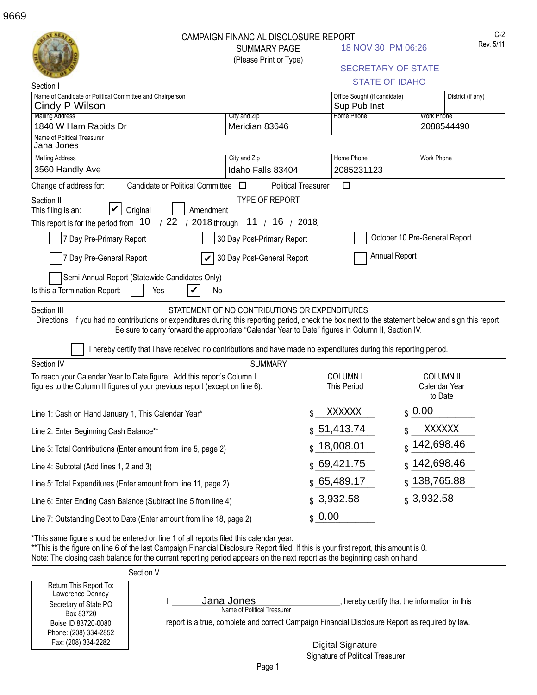|                                                                                                                                                                                                                                                                                                                                                                                                  | <b>CAMPAIGN FINANCIAL DISCLOSURE REPORT</b><br><b>SUMMARY PAGE</b><br>(Please Print or Type) | 18 NOV 30 PM 06:26<br><b>STATE OF IDAHO</b>  | $C-2$<br>Rev. 5/11<br><b>SECRETARY OF STATE</b> |
|--------------------------------------------------------------------------------------------------------------------------------------------------------------------------------------------------------------------------------------------------------------------------------------------------------------------------------------------------------------------------------------------------|----------------------------------------------------------------------------------------------|----------------------------------------------|-------------------------------------------------|
| Section I<br>Name of Candidate or Political Committee and Chairperson<br>Cindy P Wilson                                                                                                                                                                                                                                                                                                          |                                                                                              | Office Sought (if candidate)<br>Sup Pub Inst | District (if any)                               |
| <b>Mailing Address</b>                                                                                                                                                                                                                                                                                                                                                                           | City and Zip                                                                                 | Home Phone                                   | <b>Work Phone</b>                               |
| 1840 W Ham Rapids Dr                                                                                                                                                                                                                                                                                                                                                                             | Meridian 83646                                                                               |                                              | 2088544490                                      |
| Name of Political Treasurer<br>Jana Jones                                                                                                                                                                                                                                                                                                                                                        |                                                                                              |                                              |                                                 |
| <b>Mailing Address</b>                                                                                                                                                                                                                                                                                                                                                                           | City and Zip                                                                                 | <b>Home Phone</b>                            | <b>Work Phone</b>                               |
| 3560 Handly Ave                                                                                                                                                                                                                                                                                                                                                                                  | Idaho Falls 83404                                                                            | 2085231123                                   |                                                 |
| Candidate or Political Committee $\square$<br>Change of address for:                                                                                                                                                                                                                                                                                                                             | <b>Political Treasurer</b>                                                                   | $\Box$                                       |                                                 |
| 22<br>This report is for the period from _10<br>2018 through 11 / 16 / 2018<br>October 10 Pre-General Report<br>7 Day Pre-Primary Report<br>30 Day Post-Primary Report<br>Annual Report<br>30 Day Post-General Report<br>7 Day Pre-General Report<br>Semi-Annual Report (Statewide Candidates Only)                                                                                              |                                                                                              |                                              |                                                 |
| Section III<br>Directions: If you had no contributions or expenditures during this reporting period, check the box next to the statement below and sign this report.<br>Be sure to carry forward the appropriate "Calendar Year to Date" figures in Column II, Section IV.<br>I hereby certify that I have received no contributions and have made no expenditures during this reporting period. | STATEMENT OF NO CONTRIBUTIONS OR EXPENDITURES                                                |                                              |                                                 |
| Section IV                                                                                                                                                                                                                                                                                                                                                                                       | <b>SUMMARY</b>                                                                               |                                              |                                                 |
| To reach your Calendar Year to Date figure: Add this report's Column I<br>figures to the Column II figures of your previous report (except on line 6).                                                                                                                                                                                                                                           |                                                                                              | COLUMN I<br><b>This Period</b>               | <b>COLUMN II</b><br>Calendar Year<br>to Date    |
| Line 1: Cash on Hand January 1, This Calendar Year*                                                                                                                                                                                                                                                                                                                                              |                                                                                              | <b>XXXXXX</b><br>\$                          | \$0.00                                          |
| Line 2: Enter Beginning Cash Balance**                                                                                                                                                                                                                                                                                                                                                           |                                                                                              | \$51,413.74                                  | <b>XXXXXX</b>                                   |
| Line 3: Total Contributions (Enter amount from line 5, page 2)                                                                                                                                                                                                                                                                                                                                   |                                                                                              | \$18,008.01                                  | 142,698.46                                      |
| Line 4: Subtotal (Add lines 1, 2 and 3)                                                                                                                                                                                                                                                                                                                                                          |                                                                                              | \$69,421.75                                  | 142,698.46<br>\$                                |
| Line 5: Total Expenditures (Enter amount from line 11, page 2)                                                                                                                                                                                                                                                                                                                                   |                                                                                              | \$65,489.17                                  | 138,765.88<br>\$.                               |
| Line 6: Enter Ending Cash Balance (Subtract line 5 from line 4)                                                                                                                                                                                                                                                                                                                                  |                                                                                              | \$3,932.58                                   | \$3,932.58                                      |
| Line 7: Outstanding Debt to Date (Enter amount from line 18, page 2)                                                                                                                                                                                                                                                                                                                             |                                                                                              | \$0.00                                       |                                                 |
| *This same figure should be entered on line 1 of all reports filed this calendar year.<br>** This is the figure on line 6 of the last Campaign Financial Disclosure Report filed. If this is your first report, this amount is 0.<br>Note: The closing cash balance for the current reporting period appears on the next report as the beginning cash on hand.                                   |                                                                                              |                                              |                                                 |
| Section V<br>Return This Report To:                                                                                                                                                                                                                                                                                                                                                              |                                                                                              |                                              |                                                 |

report is a true, complete and correct Campaign Financial Disclosure Report as required by law.

I, Jana Jones **Jana Supplemental Conduct Conduct**, hereby certify that the information in this

Signature of Political Treasurer Digital Signature

Name of Political Treasurer

<u>Jana Jones</u>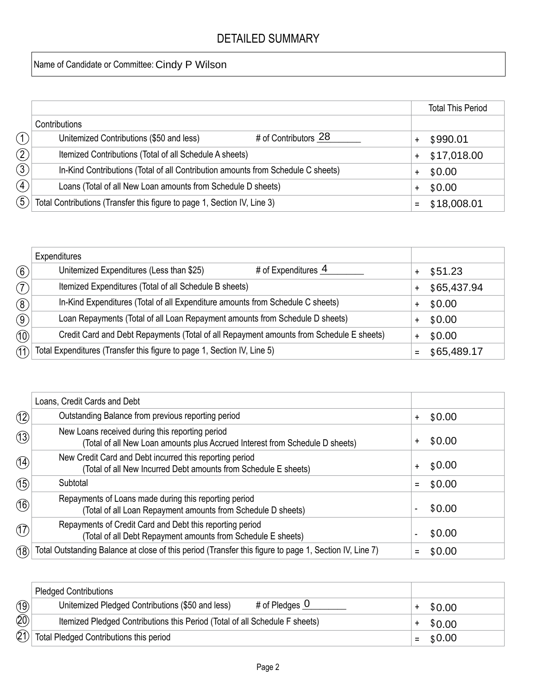## DETAILED SUMMARY

Name of Candidate or Committee: Cindy P Wilson

|                   |                                                                                  | <b>Total This Period</b> |
|-------------------|----------------------------------------------------------------------------------|--------------------------|
|                   | Contributions                                                                    |                          |
| (1)               | # of Contributors 28<br>Unitemized Contributions (\$50 and less)                 | \$990.01                 |
| $\left( 2\right)$ | Itemized Contributions (Total of all Schedule A sheets)                          | \$17,018.00              |
| $\circled{3}$     | In-Kind Contributions (Total of all Contribution amounts from Schedule C sheets) | \$0.00                   |
| $\left( 4\right)$ | Loans (Total of all New Loan amounts from Schedule D sheets)                     | \$0.00                   |
| $\mathfrak{F}$    | Total Contributions (Transfer this figure to page 1, Section IV, Line 3)         | \$18,008.01              |

|                            | Expenditures                                                                            |             |
|----------------------------|-----------------------------------------------------------------------------------------|-------------|
| $\left(\widehat{6}\right)$ | Unitemized Expenditures (Less than \$25)<br># of Expenditures $4$                       | \$51.23     |
| (7)                        | Itemized Expenditures (Total of all Schedule B sheets)                                  | \$65,437.94 |
| $\circled{8}$              | In-Kind Expenditures (Total of all Expenditure amounts from Schedule C sheets)          | \$0.00      |
| $\circled{9}$              | Loan Repayments (Total of all Loan Repayment amounts from Schedule D sheets)            | \$0.00      |
| (10)                       | Credit Card and Debt Repayments (Total of all Repayment amounts from Schedule E sheets) | \$0.00      |
| (1)                        | Total Expenditures (Transfer this figure to page 1, Section IV, Line 5)                 | \$65,489.17 |

|               | Loans, Credit Cards and Debt                                                                                                    |                     |
|---------------|---------------------------------------------------------------------------------------------------------------------------------|---------------------|
| (12)          | Outstanding Balance from previous reporting period                                                                              | \$0.00<br>$\ddot{}$ |
| (13)          | New Loans received during this reporting period<br>(Total of all New Loan amounts plus Accrued Interest from Schedule D sheets) | \$0.00              |
| (14)          | New Credit Card and Debt incurred this reporting period<br>(Total of all New Incurred Debt amounts from Schedule E sheets)      | \$0.00<br>$\ddot{}$ |
| (15)          | Subtotal                                                                                                                        | \$0.00<br>Ξ         |
| (16)          | Repayments of Loans made during this reporting period<br>(Total of all Loan Repayment amounts from Schedule D sheets)           | \$0.00              |
| $\circled{7}$ | Repayments of Credit Card and Debt this reporting period<br>(Total of all Debt Repayment amounts from Schedule E sheets)        | \$0.00              |
| (18)          | Total Outstanding Balance at close of this period (Transfer this figure to page 1, Section IV, Line 7)                          | \$0.00              |

|                 | <b>Pledged Contributions</b>                                                    |            |
|-----------------|---------------------------------------------------------------------------------|------------|
| $\overline{19}$ | # of Pledges $\overline{0}$<br>Unitemized Pledged Contributions (\$50 and less) | \$0.00     |
| 20)             | Itemized Pledged Contributions this Period (Total of all Schedule F sheets)     | \$0.00     |
| 21)             | Total Pledged Contributions this period                                         | $=$ \$0.00 |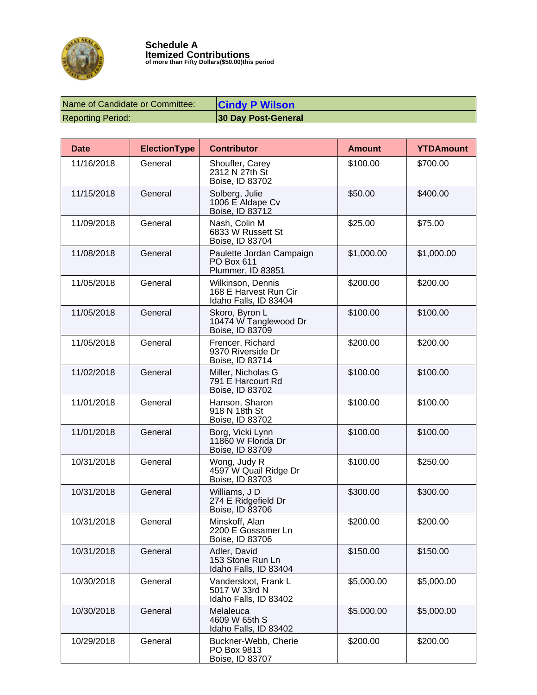

| Name of Candidate or Committee: | <b>Cindy P Wilson</b> |
|---------------------------------|-----------------------|
| <b>Reporting Period:</b>        | 30 Day Post-General   |

| <b>Date</b> | <b>ElectionType</b> | <b>Contributor</b>                                                  | <b>Amount</b> | <b>YTDAmount</b> |
|-------------|---------------------|---------------------------------------------------------------------|---------------|------------------|
| 11/16/2018  | General             | Shoufler, Carey<br>2312 N 27th St<br>Boise, ID 83702                | \$100.00      | \$700.00         |
| 11/15/2018  | General             | Solberg, Julie<br>1006 E Aldape Cv<br>Boise, ID 83712               | \$50.00       | \$400.00         |
| 11/09/2018  | General             | Nash, Colin M<br>6833 W Russett St<br>Boise, ID 83704               | \$25.00       | \$75.00          |
| 11/08/2018  | General             | Paulette Jordan Campaign<br>PO Box 611<br>Plummer, ID 83851         | \$1,000.00    | \$1,000.00       |
| 11/05/2018  | General             | Wilkinson, Dennis<br>168 E Harvest Run Cir<br>Idaho Falls, ID 83404 | \$200.00      | \$200.00         |
| 11/05/2018  | General             | Skoro, Byron L<br>10474 W Tanglewood Dr<br>Boise, ID 83709          | \$100.00      | \$100.00         |
| 11/05/2018  | General             | Frencer, Richard<br>9370 Riverside Dr<br>Boise, ID 83714            | \$200.00      | \$200.00         |
| 11/02/2018  | General             | Miller, Nicholas G<br>791 E Harcourt Rd<br>Boise, ID 83702          | \$100.00      | \$100.00         |
| 11/01/2018  | General             | Hanson, Sharon<br>918 N 18th St<br>Boise, ID 83702                  | \$100.00      | \$100.00         |
| 11/01/2018  | General             | Borg, Vicki Lynn<br>11860 W Florida Dr<br>Boise, ID 83709           | \$100.00      | \$100.00         |
| 10/31/2018  | General             | Wong, Judy R<br>4597 W Quail Ridge Dr<br>Boise, ID 83703            | \$100.00      | \$250.00         |
| 10/31/2018  | General             | Williams, JD<br>274 E Ridgefield Dr<br>Boise, ID 83706              | \$300.00      | \$300.00         |
| 10/31/2018  | General             | Minskoff, Alan<br>2200 E Gossamer Ln<br>Boise, ID 83706             | \$200.00      | \$200.00         |
| 10/31/2018  | General             | Adler, David<br>153 Stone Run Ln<br>Idaho Falls, ID 83404           | \$150.00      | \$150.00         |
| 10/30/2018  | General             | Vandersloot, Frank L<br>5017 W 33rd N<br>Idaho Falls, ID 83402      | \$5,000.00    | \$5,000.00       |
| 10/30/2018  | General             | Melaleuca<br>4609 W 65th S<br>Idaho Falls, ID 83402                 | \$5,000.00    | \$5,000.00       |
| 10/29/2018  | General             | Buckner-Webb, Cherie<br>PO Box 9813<br>Boise, ID 83707              | \$200.00      | \$200.00         |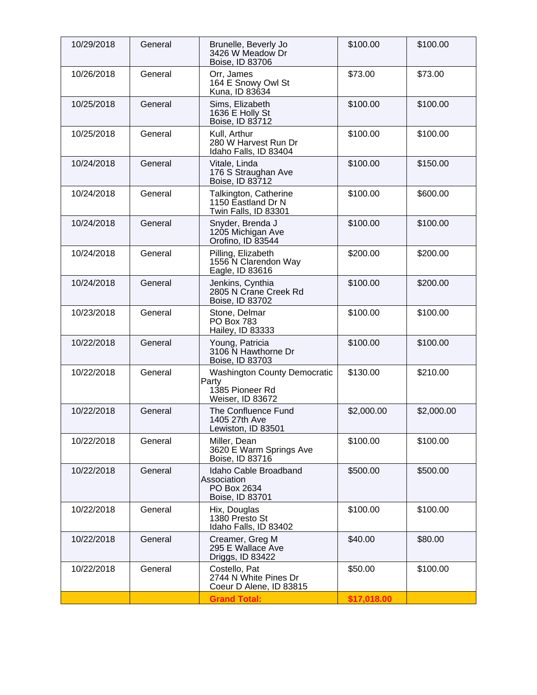| 10/29/2018 | General | Brunelle, Beverly Jo<br>3426 W Meadow Dr<br>Boise, ID 83706                         | \$100.00    | \$100.00   |
|------------|---------|-------------------------------------------------------------------------------------|-------------|------------|
| 10/26/2018 | General | Orr, James<br>164 E Snowy Owl St<br>Kuna, ID 83634                                  | \$73.00     | \$73.00    |
| 10/25/2018 | General | Sims, Elizabeth<br>1636 E Holly St<br>Boise, ID 83712                               | \$100.00    | \$100.00   |
| 10/25/2018 | General | Kull, Arthur<br>280 W Harvest Run Dr<br>Idaho Falls, ID 83404                       | \$100.00    | \$100.00   |
| 10/24/2018 | General | Vitale, Linda<br>176 S Straughan Ave<br>Boise, ID 83712                             | \$100.00    | \$150.00   |
| 10/24/2018 | General | Talkington, Catherine<br>1150 Eastland Dr N<br>Twin Falls, ID 83301                 | \$100.00    | \$600.00   |
| 10/24/2018 | General | Snyder, Brenda J<br>1205 Michigan Ave<br>Orofino, ID 83544                          | \$100.00    | \$100.00   |
| 10/24/2018 | General | Pilling, Elizabeth<br>1556 N Clarendon Way<br>Eagle, ID 83616                       | \$200.00    | \$200.00   |
| 10/24/2018 | General | Jenkins, Cynthia<br>2805 N Crane Creek Rd<br>Boise, ID 83702                        | \$100.00    | \$200.00   |
| 10/23/2018 | General | Stone, Delmar<br><b>PO Box 783</b><br>Hailey, ID 83333                              | \$100.00    | \$100.00   |
| 10/22/2018 | General | Young, Patricia<br>3106 N Hawthorne Dr<br>Boise, ID 83703                           | \$100.00    | \$100.00   |
| 10/22/2018 | General | <b>Washington County Democratic</b><br>Party<br>1385 Pioneer Rd<br>Weiser, ID 83672 | \$130.00    | \$210.00   |
| 10/22/2018 | General | The Confluence Fund<br>1405 27th Ave<br>Lewiston, ID 83501                          | \$2,000.00  | \$2,000.00 |
| 10/22/2018 | General | Miller, Dean<br>3620 E Warm Springs Ave<br>Boise, ID 83716                          | \$100.00    | \$100.00   |
| 10/22/2018 | General | Idaho Cable Broadband<br>Association<br>PO Box 2634<br>Boise, ID 83701              | \$500.00    | \$500.00   |
| 10/22/2018 | General | Hix, Douglas<br>1380 Presto St<br>Idaho Falls, ID 83402                             | \$100.00    | \$100.00   |
| 10/22/2018 | General | Creamer, Greg M<br>295 E Wallace Ave<br>Driggs, ID 83422                            | \$40.00     | \$80.00    |
| 10/22/2018 | General | Costello, Pat<br>2744 N White Pines Dr<br>Coeur D Alene, ID 83815                   | \$50.00     | \$100.00   |
|            |         | <b>Grand Total:</b>                                                                 | \$17,018.00 |            |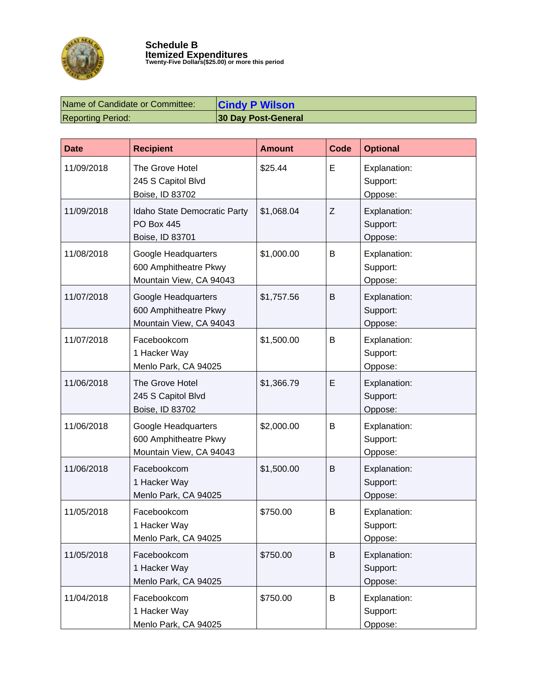

| Name of Candidate or Committee: | <b>Cindy P Wilson</b> |
|---------------------------------|-----------------------|
| <b>Reporting Period:</b>        | 30 Day Post-General   |

| <b>Date</b> | <b>Recipient</b>                                                        | <b>Amount</b> | <b>Code</b> | <b>Optional</b>                     |
|-------------|-------------------------------------------------------------------------|---------------|-------------|-------------------------------------|
| 11/09/2018  | The Grove Hotel<br>245 S Capitol Blvd<br>Boise, ID 83702                | \$25.44       | E           | Explanation:<br>Support:<br>Oppose: |
| 11/09/2018  | Idaho State Democratic Party<br><b>PO Box 445</b><br>Boise, ID 83701    | \$1,068.04    | Z           | Explanation:<br>Support:<br>Oppose: |
| 11/08/2018  | Google Headquarters<br>600 Amphitheatre Pkwy<br>Mountain View, CA 94043 | \$1,000.00    | B           | Explanation:<br>Support:<br>Oppose: |
| 11/07/2018  | Google Headquarters<br>600 Amphitheatre Pkwy<br>Mountain View, CA 94043 | \$1,757.56    | B           | Explanation:<br>Support:<br>Oppose: |
| 11/07/2018  | Facebookcom<br>1 Hacker Way<br>Menlo Park, CA 94025                     | \$1,500.00    | B           | Explanation:<br>Support:<br>Oppose: |
| 11/06/2018  | The Grove Hotel<br>245 S Capitol Blvd<br>Boise, ID 83702                | \$1,366.79    | E           | Explanation:<br>Support:<br>Oppose: |
| 11/06/2018  | Google Headquarters<br>600 Amphitheatre Pkwy<br>Mountain View, CA 94043 | \$2,000.00    | B           | Explanation:<br>Support:<br>Oppose: |
| 11/06/2018  | Facebookcom<br>1 Hacker Way<br>Menlo Park, CA 94025                     | \$1,500.00    | B           | Explanation:<br>Support:<br>Oppose: |
| 11/05/2018  | Facebookcom<br>1 Hacker Way<br>Menlo Park, CA 94025                     | \$750.00      | B           | Explanation:<br>Support:<br>Oppose: |
| 11/05/2018  | Facebookcom<br>1 Hacker Way<br>Menlo Park, CA 94025                     | \$750.00      | B           | Explanation:<br>Support:<br>Oppose: |
| 11/04/2018  | Facebookcom<br>1 Hacker Way<br>Menlo Park, CA 94025                     | \$750.00      | B           | Explanation:<br>Support:<br>Oppose: |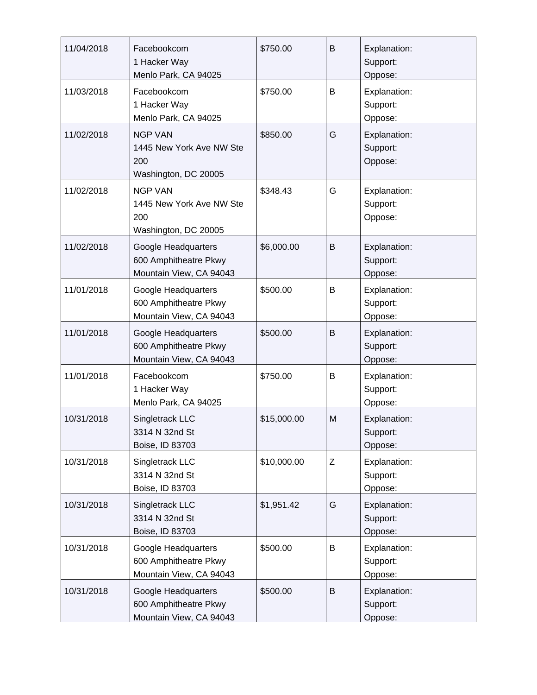| 11/04/2018 | Facebookcom<br>1 Hacker Way<br>Menlo Park, CA 94025                       | \$750.00    | B | Explanation:<br>Support:<br>Oppose: |
|------------|---------------------------------------------------------------------------|-------------|---|-------------------------------------|
| 11/03/2018 | Facebookcom<br>1 Hacker Way<br>Menlo Park, CA 94025                       | \$750.00    | B | Explanation:<br>Support:<br>Oppose: |
| 11/02/2018 | <b>NGP VAN</b><br>1445 New York Ave NW Ste<br>200<br>Washington, DC 20005 | \$850.00    | G | Explanation:<br>Support:<br>Oppose: |
| 11/02/2018 | <b>NGP VAN</b><br>1445 New York Ave NW Ste<br>200<br>Washington, DC 20005 | \$348.43    | G | Explanation:<br>Support:<br>Oppose: |
| 11/02/2018 | Google Headquarters<br>600 Amphitheatre Pkwy<br>Mountain View, CA 94043   | \$6,000.00  | B | Explanation:<br>Support:<br>Oppose: |
| 11/01/2018 | Google Headquarters<br>600 Amphitheatre Pkwy<br>Mountain View, CA 94043   | \$500.00    | B | Explanation:<br>Support:<br>Oppose: |
| 11/01/2018 | Google Headquarters<br>600 Amphitheatre Pkwy<br>Mountain View, CA 94043   | \$500.00    | B | Explanation:<br>Support:<br>Oppose: |
| 11/01/2018 | Facebookcom<br>1 Hacker Way<br>Menlo Park, CA 94025                       | \$750.00    | В | Explanation:<br>Support:<br>Oppose: |
| 10/31/2018 | Singletrack LLC<br>3314 N 32nd St<br>Boise, ID 83703                      | \$15,000.00 | M | Explanation:<br>Support:<br>Oppose: |
| 10/31/2018 | Singletrack LLC<br>3314 N 32nd St<br>Boise, ID 83703                      | \$10,000.00 | Z | Explanation:<br>Support:<br>Oppose: |
| 10/31/2018 | Singletrack LLC<br>3314 N 32nd St<br>Boise, ID 83703                      | \$1,951.42  | G | Explanation:<br>Support:<br>Oppose: |
| 10/31/2018 | Google Headquarters<br>600 Amphitheatre Pkwy<br>Mountain View, CA 94043   | \$500.00    | B | Explanation:<br>Support:<br>Oppose: |
| 10/31/2018 | Google Headquarters<br>600 Amphitheatre Pkwy<br>Mountain View, CA 94043   | \$500.00    | B | Explanation:<br>Support:<br>Oppose: |